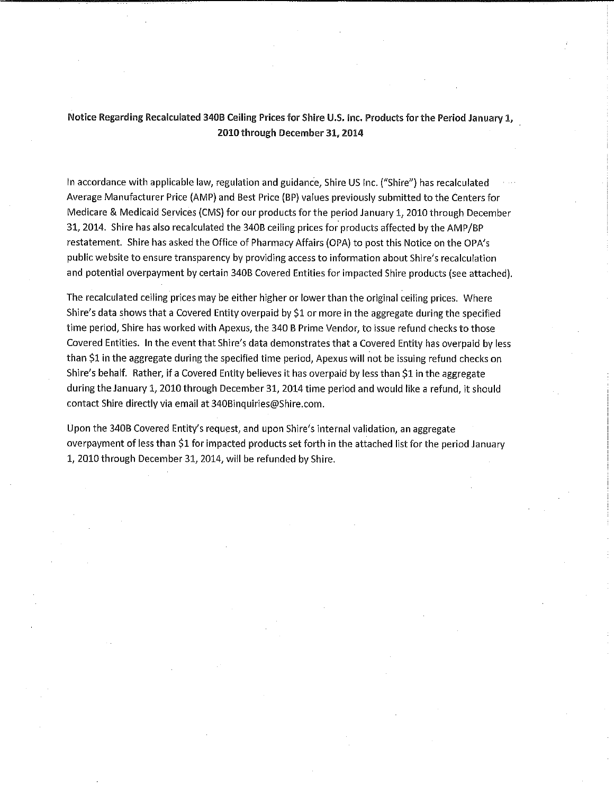Notice Regarding Recalculated 340B Ceiling Prices for Shire U.S. Inc. Products for the Period January 1, 2010 through December 31, 2014

In accordance with applicable law, regulation and guidance, Shire US Inc. ("Shire") has recalculated Average Manufacturer Price (AMP) and Best Price (BP) values previously submitted to the Centers for Medicare & Medicaid Services (CMS) for our products for the period January 1, 2010 through December 31, 2014. Shire has also recalculated the 340B ceiling prices for products affected by the AMP/BP restatement. Shire has asked the Office of Pharmacy Affairs (OPA) to post this Notice on the OPA's public website to ensure transparency by providing access to information about Shire's recalculation and potential overpayment by certain 340B Covered Entities for impacted Shire products (see attached).

The recalculated ceiling prices may be either higher or lower than the original ceiling prices. Where Shire's data shows that a Covered Entity overpaid by \$1 or more in the aggregate during the specified time period, Shire has worked with Apexus, the 340 B Prime Vendor, to issue refund checks to those Covered Entities. In the event that Shire's data demonstrates that a Covered Entity has overpaid by less than \$1 in the aggregate during the specified time period, Apexus will not be issuing refund checks on Shire's behalf. Rather, if a Covered Entity believes it has overpaid by less than \$1 in the aggregate during the January 1, 2010 through December 31, 2014 time period and would like a refund, it should contact Shire directly via email at 340Binquiries@Shire.com.

Upon the 340B Covered Entity's request, and upon Shire's internal validation, an aggregate overpayment of less than \$1 for impacted products set forth in the attached list for the period January 1, 2010 through December 31, 2014, will be refunded by Shire.